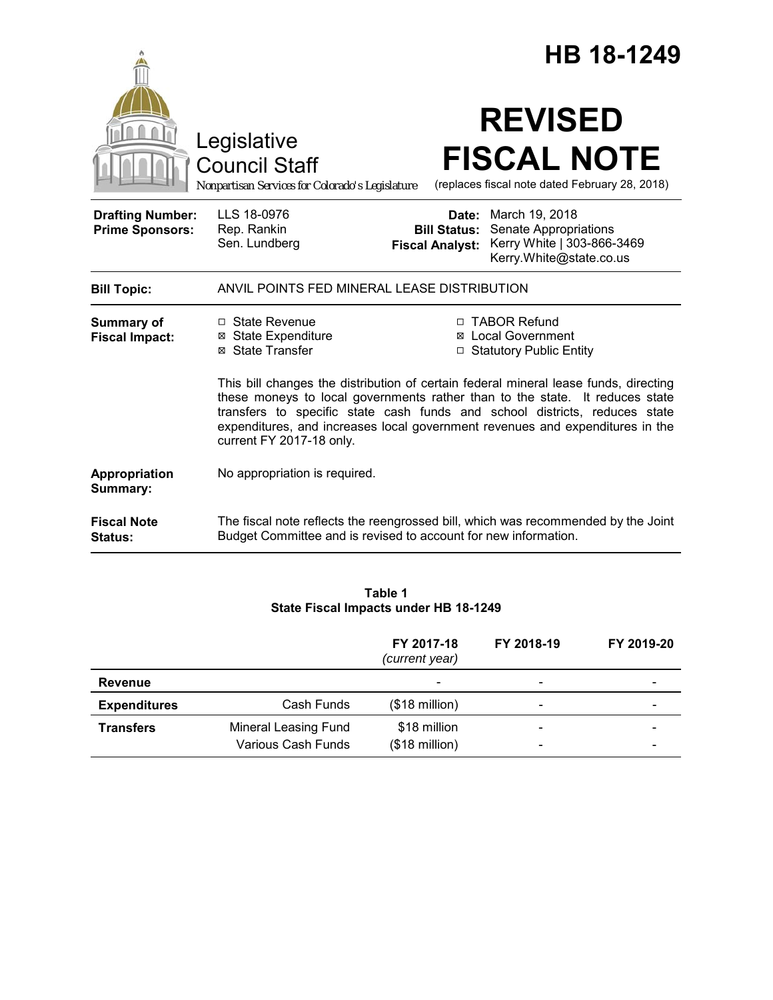|                                                   |                                                                                                                                                                                                                                                                                                                                                                                                                                                                                      | HB 18-1249                                    |                                                                                                        |  |  |
|---------------------------------------------------|--------------------------------------------------------------------------------------------------------------------------------------------------------------------------------------------------------------------------------------------------------------------------------------------------------------------------------------------------------------------------------------------------------------------------------------------------------------------------------------|-----------------------------------------------|--------------------------------------------------------------------------------------------------------|--|--|
|                                                   | Legislative<br><b>Council Staff</b><br>Nonpartisan Services for Colorado's Legislature                                                                                                                                                                                                                                                                                                                                                                                               |                                               | <b>REVISED</b><br><b>FISCAL NOTE</b><br>(replaces fiscal note dated February 28, 2018)                 |  |  |
| <b>Drafting Number:</b><br><b>Prime Sponsors:</b> | LLS 18-0976<br>Rep. Rankin<br>Sen. Lundberg                                                                                                                                                                                                                                                                                                                                                                                                                                          | <b>Bill Status:</b><br><b>Fiscal Analyst:</b> | Date: March 19, 2018<br>Senate Appropriations<br>Kerry White   303-866-3469<br>Kerry.White@state.co.us |  |  |
| <b>Bill Topic:</b>                                | ANVIL POINTS FED MINERAL LEASE DISTRIBUTION                                                                                                                                                                                                                                                                                                                                                                                                                                          |                                               |                                                                                                        |  |  |
| <b>Summary of</b><br><b>Fiscal Impact:</b>        | □ TABOR Refund<br>□ State Revenue<br><b>⊠</b> State Expenditure<br><b>⊠</b> Local Government<br>⊠ State Transfer<br>□ Statutory Public Entity<br>This bill changes the distribution of certain federal mineral lease funds, directing<br>these moneys to local governments rather than to the state. It reduces state<br>transfers to specific state cash funds and school districts, reduces state<br>expenditures, and increases local government revenues and expenditures in the |                                               |                                                                                                        |  |  |
| Appropriation<br>Summary:                         | current FY 2017-18 only.<br>No appropriation is required.                                                                                                                                                                                                                                                                                                                                                                                                                            |                                               |                                                                                                        |  |  |
| <b>Fiscal Note</b><br>Status:                     | The fiscal note reflects the reengrossed bill, which was recommended by the Joint<br>Budget Committee and is revised to account for new information.                                                                                                                                                                                                                                                                                                                                 |                                               |                                                                                                        |  |  |

# **Table 1 State Fiscal Impacts under HB 18-1249**

|                     |                                            | FY 2017-18<br>(current year)            | FY 2018-19                   | FY 2019-20 |
|---------------------|--------------------------------------------|-----------------------------------------|------------------------------|------------|
| <b>Revenue</b>      |                                            | $\overline{\phantom{0}}$                | $\overline{\phantom{0}}$     |            |
| <b>Expenditures</b> | Cash Funds                                 | $($18 \text{ million})$                 | $\qquad \qquad \blacksquare$ | -          |
| <b>Transfers</b>    | Mineral Leasing Fund<br>Various Cash Funds | \$18 million<br>$($18 \text{ million})$ |                              |            |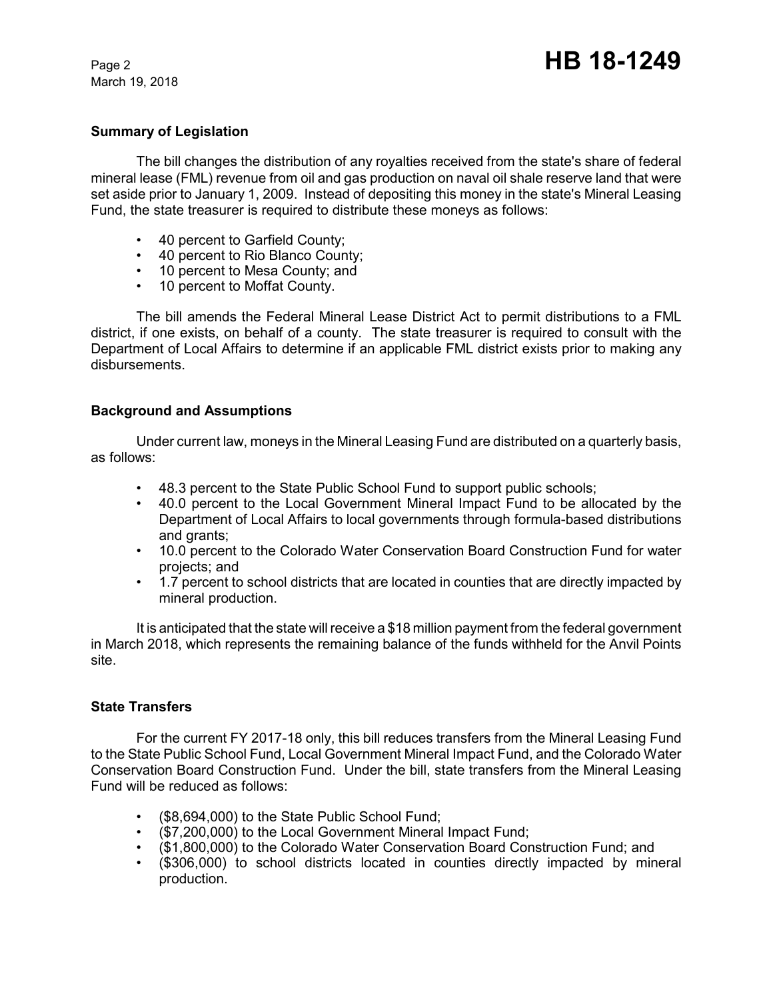March 19, 2018

### **Summary of Legislation**

The bill changes the distribution of any royalties received from the state's share of federal mineral lease (FML) revenue from oil and gas production on naval oil shale reserve land that were set aside prior to January 1, 2009. Instead of depositing this money in the state's Mineral Leasing Fund, the state treasurer is required to distribute these moneys as follows:

- 40 percent to Garfield County;
- 40 percent to Rio Blanco County;
- 10 percent to Mesa County; and
- 10 percent to Moffat County.

The bill amends the Federal Mineral Lease District Act to permit distributions to a FML district, if one exists, on behalf of a county. The state treasurer is required to consult with the Department of Local Affairs to determine if an applicable FML district exists prior to making any disbursements.

### **Background and Assumptions**

Under current law, moneys in the Mineral Leasing Fund are distributed on a quarterly basis, as follows:

- 48.3 percent to the State Public School Fund to support public schools;
- 40.0 percent to the Local Government Mineral Impact Fund to be allocated by the Department of Local Affairs to local governments through formula-based distributions and grants;
- 10.0 percent to the Colorado Water Conservation Board Construction Fund for water projects; and
- 1.7 percent to school districts that are located in counties that are directly impacted by mineral production.

It is anticipated that the state will receive a \$18 million payment from the federal government in March 2018, which represents the remaining balance of the funds withheld for the Anvil Points site.

### **State Transfers**

For the current FY 2017-18 only, this bill reduces transfers from the Mineral Leasing Fund to the State Public School Fund, Local Government Mineral Impact Fund, and the Colorado Water Conservation Board Construction Fund. Under the bill, state transfers from the Mineral Leasing Fund will be reduced as follows:

- (\$8,694,000) to the State Public School Fund;
- (\$7,200,000) to the Local Government Mineral Impact Fund;
- (\$1,800,000) to the Colorado Water Conservation Board Construction Fund; and
- (\$306,000) to school districts located in counties directly impacted by mineral production.